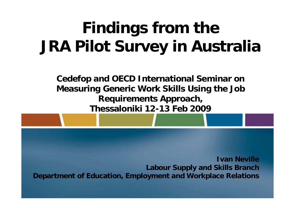# **Findings from the JRA Pilot Survey in Australia**

**Cedefop and OECD International Seminar on Measuring Generic Work Skills Using the Job Requirements Approach, Thessaloniki 12-13 Feb 2009**

**Ivan NevilleLabour Supply and Skills Branch Department of Education, Employment and Workplace Relations**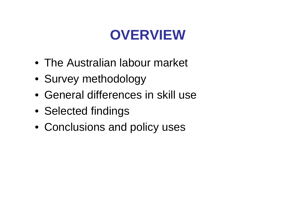### **OVERVIEW**

- The Australian labour market
- Survey methodology
- General differences in skill use
- Selected findings
- Conclusions and policy uses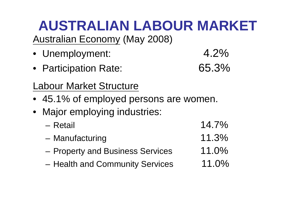# **AUSTRALIAN LABOUR MARKET**

Australian Economy (May 2008)

- Unemployment: 4.2%
- Participation Rate: 65.3%
- Labour Market Structure
- 45.1% of employed persons are women.
- Major employing industries:
	- $-$  Retail  $-$  14.7%
	- Manufacturing 11.3%
	- Property and Business Services 11.0%
	- Health and Community Services 11.0%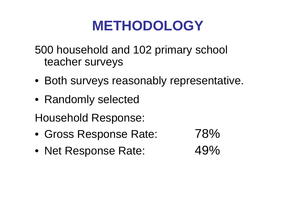#### **METHODOLOGY**

500 household and 102 primary school teacher surveys

- Both surveys reasonably representative.
- Randomly selected
- Household Response:
- Gross Response Rate: 78%
- Net Response Rate: 49%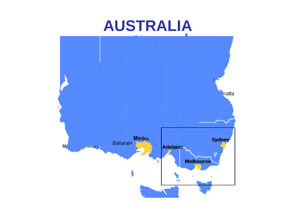### **AUSTRALIA**

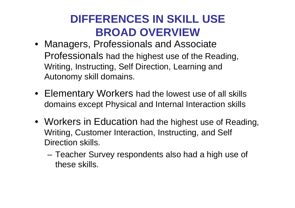#### **DIFFERENCES IN SKILL USE BROAD OVERVIEW**

- Managers, Professionals and Associate Professionals had the highest use of the Reading, Writing, Instructing, Self Direction, Learning and Autonomy skill domains.
- Elementary Workers had the lowest use of all skills domains except Physical and Internal Interaction skills
- Workers in Education had the highest use of Reading, Writing, Customer Interaction, Instructing, and Self Direction skills.
	- Teacher Survey respondents also had a high use of these skills.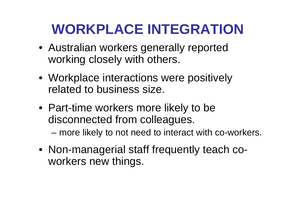# **WORKPLACE INTEGRATION**

- Australian workers generally reported working closely with others.
- Workplace interactions were positively related to business size.
- Part-time workers more likely to be disconnected from colleagues. – more likely to not need to interact with co-workers.
- Non-managerial staff frequently teach coworkers new things.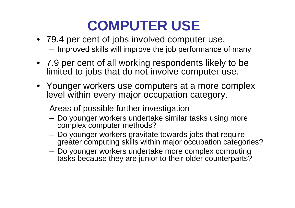### **COMPUTER USE**

- 79.4 per cent of jobs involved computer use. – Improved skills will improve the job performance of many
- 7.9 per cent of all working respondents likely to be limited to jobs that do not involve computer use.
- Younger workers use computers at a more complex level within every major occupation category.

Areas of possible further investigation

- Do younger workers undertake similar tasks using more complex computer methods?
- Do younger workers gravitate towards jobs that require greater computing skills within major occupation categories?
- Do younger workers undertake more complex computing tasks because they are junior to their older counterparts?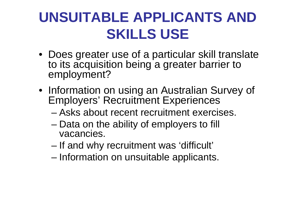# **UNSUITABLE APPLICANTS AND SKILLS USE**

- Does greater use of a particular skill translate to its acquisition being a greater barrier to employment?
- Information on using an Australian Survey of Employers' Recruitment Experiences
	- Asks about recent recruitment exercises.
	- Data on the ability of employers to fill vacancies.
	- If and why recruitment was 'difficult'
	- Information on unsuitable applicants.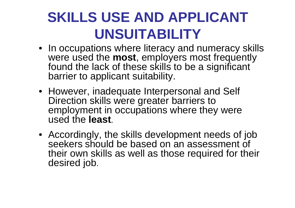# **SKILLS USE AND APPLICANT UNSUITABILITY**

- In occupations where literacy and numeracy skills were used the **most**, employers most frequently found the lack of these skills to be a significant barrier to applicant suitability.
- However, inadequate Interpersonal and Self Direction skills were greater barriers to employment in occupations where they were used the **least**.
- Accordingly, the skills development needs of job seekers should be based on an assessment of their own skills as well as those required for their desired job.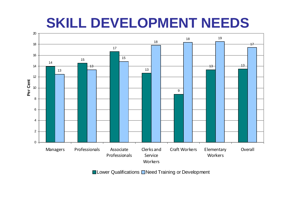#### **SKILL DEVELOPMENT NEEDS**



■Lower Qualifications ■Need Training or Development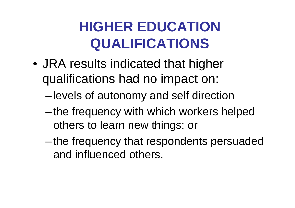# **HIGHER EDUCATION QUALIFICATIONS**

- JRA results indicated that higher qualifications had no impact on:
	- –levels of autonomy and self direction
	- the frequency with which workers helped others to learn new things; or
	- the frequency that respondents persuaded and influenced others.